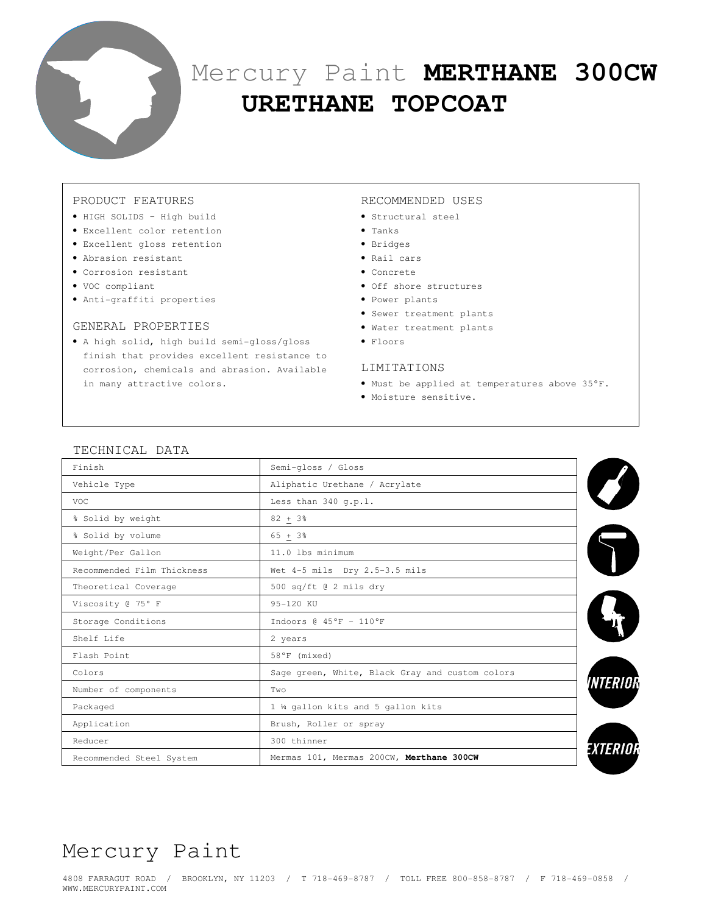

# Mercury Paint **MERTHANE 300CW URETHANE TOPCOAT**

## PRODUCT FEATURES

- HIGH SOLIDS High build
- Excellent color retention
- Excellent gloss retention
- Abrasion resistant
- Corrosion resistant
- VOC compliant
- Anti-graffiti properties

#### GENERAL PROPERTIES

• A high solid, high build semi-gloss/gloss finish that provides excellent resistance to corrosion, chemicals and abrasion. Available in many attractive colors.

#### RECOMMENDED USES

- Structural steel
- Tanks
- Bridges
- Rail cars
- Concrete
- Off shore structures
- Power plants
- Sewer treatment plants
- Water treatment plants
- Floors

#### LIMITATIONS

- Must be applied at temperatures above 35°F.
- Moisture sensitive.

| I LUIIN IUI III IIIIII     |                                                 |  |  |
|----------------------------|-------------------------------------------------|--|--|
| Finish                     | Semi-gloss / Gloss                              |  |  |
| Vehicle Type               | Aliphatic Urethane / Acrylate                   |  |  |
| <b>VOC</b>                 | Less than $340$ q.p.l.                          |  |  |
| % Solid by weight          | $82 + 3%$                                       |  |  |
| % Solid by volume          | $65 + 3%$                                       |  |  |
| Weight/Per Gallon          | 11.0 lbs minimum                                |  |  |
| Recommended Film Thickness | Wet 4-5 mils Dry 2.5-3.5 mils                   |  |  |
| Theoretical Coverage       | 500 sq/ft @ 2 mils dry                          |  |  |
| Viscosity @ 75° F          | 95-120 KU                                       |  |  |
| Storage Conditions         | Indoors $@45°F - 110°F$                         |  |  |
| Shelf Life                 | 2 years                                         |  |  |
| Flash Point                | 58°F (mixed)                                    |  |  |
| Colors                     | Sage green, White, Black Gray and custom colors |  |  |
| Number of components       | Two                                             |  |  |
| Packaged                   | 1 ¼ gallon kits and 5 gallon kits               |  |  |
| Application                | Brush, Roller or spray                          |  |  |
| Reducer                    | 300 thinner                                     |  |  |
| Recommended Steel System   | Mermas 101, Mermas 200CW, Merthane 300CW        |  |  |
|                            |                                                 |  |  |

# TECHNICAL DATA

# Mercury Paint

4808 FARRAGUT ROAD / BROOKLYN, NY 11203 / T 718-469-8787 / TOLL FREE 800-858-8787 / F 718-469-0858 / WWW.MERCURYPAINT.COM